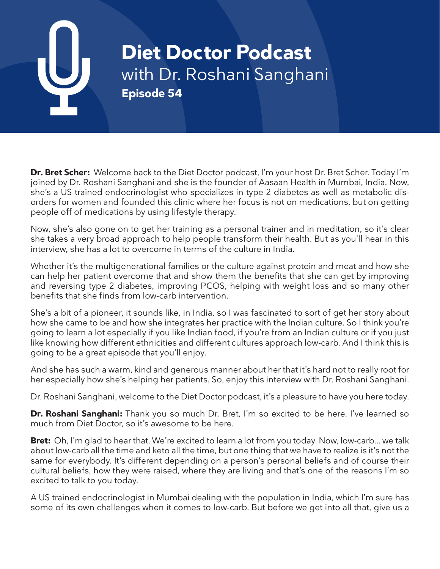# **Diet Doctor Podcast** with Dr. Roshani Sanghani **Episode 54**

**Dr. Bret Scher:** Welcome back to the Diet Doctor podcast, I'm your host Dr. Bret Scher. Today I'm joined by Dr. Roshani Sanghani and she is the founder of Aasaan Health in Mumbai, India. Now, she's a US trained endocrinologist who specializes in type 2 diabetes as well as metabolic disorders for women and founded this clinic where her focus is not on medications, but on getting people off of medications by using lifestyle therapy.

Now, she's also gone on to get her training as a personal trainer and in meditation, so it's clear she takes a very broad approach to help people transform their health. But as you'll hear in this interview, she has a lot to overcome in terms of the culture in India.

Whether it's the multigenerational families or the culture against protein and meat and how she can help her patient overcome that and show them the benefits that she can get by improving and reversing type 2 diabetes, improving PCOS, helping with weight loss and so many other benefits that she finds from low-carb intervention.

She's a bit of a pioneer, it sounds like, in India, so I was fascinated to sort of get her story about how she came to be and how she integrates her practice with the Indian culture. So I think you're going to learn a lot especially if you like Indian food, if you're from an Indian culture or if you just like knowing how different ethnicities and different cultures approach low-carb. And I think this is going to be a great episode that you'll enjoy.

And she has such a warm, kind and generous manner about her that it's hard not to really root for her especially how she's helping her patients. So, enjoy this interview with Dr. Roshani Sanghani.

Dr. Roshani Sanghani, welcome to the Diet Doctor podcast, it's a pleasure to have you here today.

**Dr. Roshani Sanghani:** Thank you so much Dr. Bret, I'm so excited to be here. I've learned so much from Diet Doctor, so it's awesome to be here.

**Bret:** Oh, I'm glad to hear that. We're excited to learn a lot from you today. Now, low-carb... we talk about low-carb all the time and keto all the time, but one thing that we have to realize is it's not the same for everybody. It's different depending on a person's personal beliefs and of course their cultural beliefs, how they were raised, where they are living and that's one of the reasons I'm so excited to talk to you today.

A US trained endocrinologist in Mumbai dealing with the population in India, which I'm sure has some of its own challenges when it comes to low-carb. But before we get into all that, give us a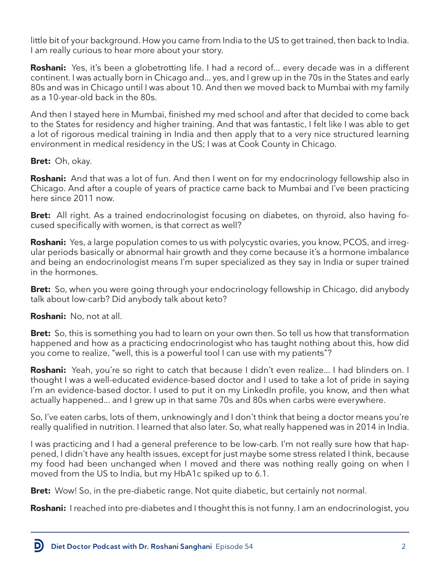little bit of your background. How you came from India to the US to get trained, then back to India. I am really curious to hear more about your story.

**Roshani:** Yes, it's been a globetrotting life. I had a record of... every decade was in a different continent. I was actually born in Chicago and... yes, and I grew up in the 70s in the States and early 80s and was in Chicago until I was about 10. And then we moved back to Mumbai with my family as a 10-year-old back in the 80s.

And then I stayed here in Mumbai, finished my med school and after that decided to come back to the States for residency and higher training. And that was fantastic, I felt like I was able to get a lot of rigorous medical training in India and then apply that to a very nice structured learning environment in medical residency in the US; I was at Cook County in Chicago.

# **Bret:** Oh, okay.

**Roshani:** And that was a lot of fun. And then I went on for my endocrinology fellowship also in Chicago. And after a couple of years of practice came back to Mumbai and I've been practicing here since 2011 now.

**Bret:** All right. As a trained endocrinologist focusing on diabetes, on thyroid, also having focused specifically with women, is that correct as well?

**Roshani:** Yes, a large population comes to us with polycystic ovaries, you know, PCOS, and irregular periods basically or abnormal hair growth and they come because it's a hormone imbalance and being an endocrinologist means I'm super specialized as they say in India or super trained in the hormones.

**Bret:** So, when you were going through your endocrinology fellowship in Chicago, did anybody talk about low-carb? Did anybody talk about keto?

### **Roshani:** No, not at all.

**Bret:** So, this is something you had to learn on your own then. So tell us how that transformation happened and how as a practicing endocrinologist who has taught nothing about this, how did you come to realize, "well, this is a powerful tool I can use with my patients"?

**Roshani:** Yeah, you're so right to catch that because I didn't even realize... I had blinders on. I thought I was a well-educated evidence-based doctor and I used to take a lot of pride in saying I'm an evidence-based doctor. I used to put it on my LinkedIn profile, you know, and then what actually happened... and I grew up in that same 70s and 80s when carbs were everywhere.

So, I've eaten carbs, lots of them, unknowingly and I don't think that being a doctor means you're really qualified in nutrition. I learned that also later. So, what really happened was in 2014 in India.

I was practicing and I had a general preference to be low-carb. I'm not really sure how that happened, I didn't have any health issues, except for just maybe some stress related I think, because my food had been unchanged when I moved and there was nothing really going on when I moved from the US to India, but my HbA1c spiked up to 6.1.

**Bret:** Wow! So, in the pre-diabetic range. Not quite diabetic, but certainly not normal.

**Roshani:** I reached into pre-diabetes and I thought this is not funny. I am an endocrinologist, you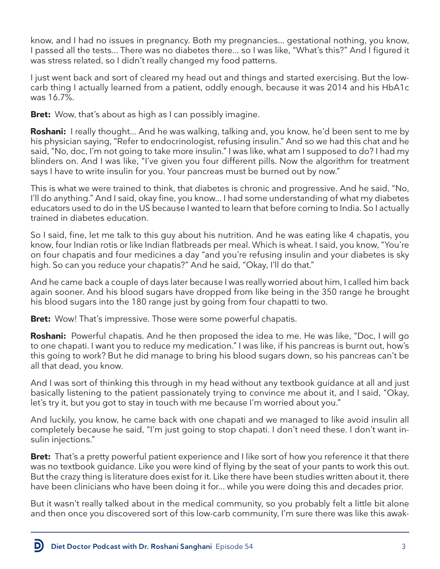know, and I had no issues in pregnancy. Both my pregnancies... gestational nothing, you know, I passed all the tests... There was no diabetes there... so I was like, "What's this?" And I figured it was stress related, so I didn't really changed my food patterns.

I just went back and sort of cleared my head out and things and started exercising. But the lowcarb thing I actually learned from a patient, oddly enough, because it was 2014 and his HbA1c was 16.7%.

**Bret:** Wow, that's about as high as I can possibly imagine.

**Roshani:** I really thought... And he was walking, talking and, you know, he'd been sent to me by his physician saying, "Refer to endocrinologist, refusing insulin." And so we had this chat and he said, "No, doc, I'm not going to take more insulin." I was like, what am I supposed to do? I had my blinders on. And I was like, "I've given you four different pills. Now the algorithm for treatment says I have to write insulin for you. Your pancreas must be burned out by now."

This is what we were trained to think, that diabetes is chronic and progressive. And he said, "No, I'll do anything." And I said, okay fine, you know... I had some understanding of what my diabetes educators used to do in the US because I wanted to learn that before coming to India. So I actually trained in diabetes education.

So I said, fine, let me talk to this guy about his nutrition. And he was eating like 4 chapatis, you know, four Indian rotis or like Indian flatbreads per meal. Which is wheat. I said, you know, "You're on four chapatis and four medicines a day "and you're refusing insulin and your diabetes is sky high. So can you reduce your chapatis?" And he said, "Okay, I'll do that."

And he came back a couple of days later because I was really worried about him, I called him back again sooner. And his blood sugars have dropped from like being in the 350 range he brought his blood sugars into the 180 range just by going from four chapatti to two.

**Bret:** Wow! That's impressive. Those were some powerful chapatis.

**Roshani:** Powerful chapatis. And he then proposed the idea to me. He was like, "Doc, I will go to one chapati. I want you to reduce my medication." I was like, if his pancreas is burnt out, how's this going to work? But he did manage to bring his blood sugars down, so his pancreas can't be all that dead, you know.

And I was sort of thinking this through in my head without any textbook guidance at all and just basically listening to the patient passionately trying to convince me about it, and I said, "Okay, let's try it, but you got to stay in touch with me because I'm worried about you."

And luckily, you know, he came back with one chapati and we managed to like avoid insulin all completely because he said, "I'm just going to stop chapati. I don't need these. I don't want insulin injections."

**Bret:** That's a pretty powerful patient experience and I like sort of how you reference it that there was no textbook guidance. Like you were kind of flying by the seat of your pants to work this out. But the crazy thing is literature does exist for it. Like there have been studies written about it, there have been clinicians who have been doing it for... while you were doing this and decades prior.

But it wasn't really talked about in the medical community, so you probably felt a little bit alone and then once you discovered sort of this low-carb community, I'm sure there was like this awak-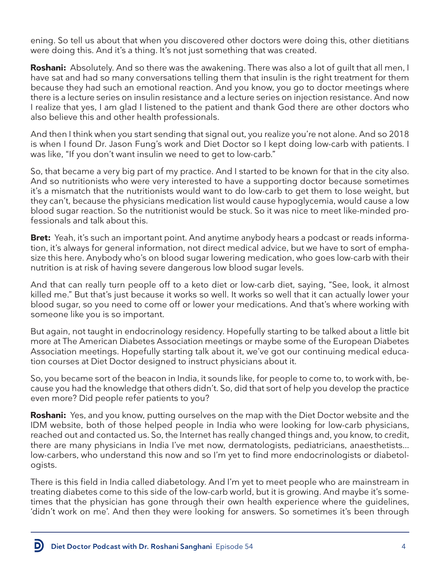ening. So tell us about that when you discovered other doctors were doing this, other dietitians were doing this. And it's a thing. It's not just something that was created.

**Roshani:** Absolutely. And so there was the awakening. There was also a lot of guilt that all men, I have sat and had so many conversations telling them that insulin is the right treatment for them because they had such an emotional reaction. And you know, you go to doctor meetings where there is a lecture series on insulin resistance and a lecture series on injection resistance. And now I realize that yes, I am glad I listened to the patient and thank God there are other doctors who also believe this and other health professionals.

And then I think when you start sending that signal out, you realize you're not alone. And so 2018 is when I found Dr. Jason Fung's work and Diet Doctor so I kept doing low-carb with patients. I was like, "If you don't want insulin we need to get to low-carb."

So, that became a very big part of my practice. And I started to be known for that in the city also. And so nutritionists who were very interested to have a supporting doctor because sometimes it's a mismatch that the nutritionists would want to do low-carb to get them to lose weight, but they can't, because the physicians medication list would cause hypoglycemia, would cause a low blood sugar reaction. So the nutritionist would be stuck. So it was nice to meet like-minded professionals and talk about this.

**Bret:** Yeah, it's such an important point. And anytime anybody hears a podcast or reads information, it's always for general information, not direct medical advice, but we have to sort of emphasize this here. Anybody who's on blood sugar lowering medication, who goes low-carb with their nutrition is at risk of having severe dangerous low blood sugar levels.

And that can really turn people off to a keto diet or low-carb diet, saying, "See, look, it almost killed me." But that's just because it works so well. It works so well that it can actually lower your blood sugar, so you need to come off or lower your medications. And that's where working with someone like you is so important.

But again, not taught in endocrinology residency. Hopefully starting to be talked about a little bit more at The American Diabetes Association meetings or maybe some of the European Diabetes Association meetings. Hopefully starting talk about it, we've got our continuing medical education courses at Diet Doctor designed to instruct physicians about it.

So, you became sort of the beacon in India, it sounds like, for people to come to, to work with, because you had the knowledge that others didn't. So, did that sort of help you develop the practice even more? Did people refer patients to you?

**Roshani:** Yes, and you know, putting ourselves on the map with the Diet Doctor website and the IDM website, both of those helped people in India who were looking for low-carb physicians, reached out and contacted us. So, the Internet has really changed things and, you know, to credit, there are many physicians in India I've met now, dermatologists, pediatricians, anaesthetists... low-carbers, who understand this now and so I'm yet to find more endocrinologists or diabetologists.

There is this field in India called diabetology. And I'm yet to meet people who are mainstream in treating diabetes come to this side of the low-carb world, but it is growing. And maybe it's sometimes that the physician has gone through their own health experience where the guidelines, 'didn't work on me'. And then they were looking for answers. So sometimes it's been through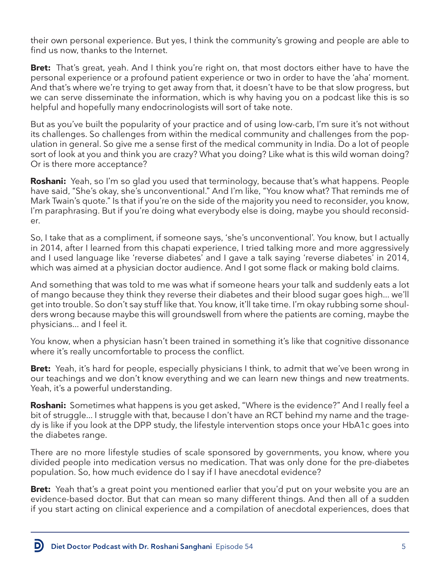their own personal experience. But yes, I think the community's growing and people are able to find us now, thanks to the Internet.

**Bret:** That's great, yeah. And I think you're right on, that most doctors either have to have the personal experience or a profound patient experience or two in order to have the 'aha' moment. And that's where we're trying to get away from that, it doesn't have to be that slow progress, but we can serve disseminate the information, which is why having you on a podcast like this is so helpful and hopefully many endocrinologists will sort of take note.

But as you've built the popularity of your practice and of using low-carb, I'm sure it's not without its challenges. So challenges from within the medical community and challenges from the population in general. So give me a sense first of the medical community in India. Do a lot of people sort of look at you and think you are crazy? What you doing? Like what is this wild woman doing? Or is there more acceptance?

**Roshani:** Yeah, so I'm so glad you used that terminology, because that's what happens. People have said, "She's okay, she's unconventional." And I'm like, "You know what? That reminds me of Mark Twain's quote." Is that if you're on the side of the majority you need to reconsider, you know, I'm paraphrasing. But if you're doing what everybody else is doing, maybe you should reconsider.

So, I take that as a compliment, if someone says, 'she's unconventional'. You know, but I actually in 2014, after I learned from this chapati experience, I tried talking more and more aggressively and I used language like 'reverse diabetes' and I gave a talk saying 'reverse diabetes' in 2014, which was aimed at a physician doctor audience. And I got some flack or making bold claims.

And something that was told to me was what if someone hears your talk and suddenly eats a lot of mango because they think they reverse their diabetes and their blood sugar goes high... we'll get into trouble. So don't say stuff like that. You know, it'll take time. I'm okay rubbing some shoulders wrong because maybe this will groundswell from where the patients are coming, maybe the physicians... and I feel it.

You know, when a physician hasn't been trained in something it's like that cognitive dissonance where it's really uncomfortable to process the conflict.

**Bret:** Yeah, it's hard for people, especially physicians I think, to admit that we've been wrong in our teachings and we don't know everything and we can learn new things and new treatments. Yeah, it's a powerful understanding.

**Roshani:** Sometimes what happens is you get asked, "Where is the evidence?" And I really feel a bit of struggle... I struggle with that, because I don't have an RCT behind my name and the tragedy is like if you look at the DPP study, the lifestyle intervention stops once your HbA1c goes into the diabetes range.

There are no more lifestyle studies of scale sponsored by governments, you know, where you divided people into medication versus no medication. That was only done for the pre-diabetes population. So, how much evidence do I say if I have anecdotal evidence?

**Bret:** Yeah that's a great point you mentioned earlier that you'd put on your website you are an evidence-based doctor. But that can mean so many different things. And then all of a sudden if you start acting on clinical experience and a compilation of anecdotal experiences, does that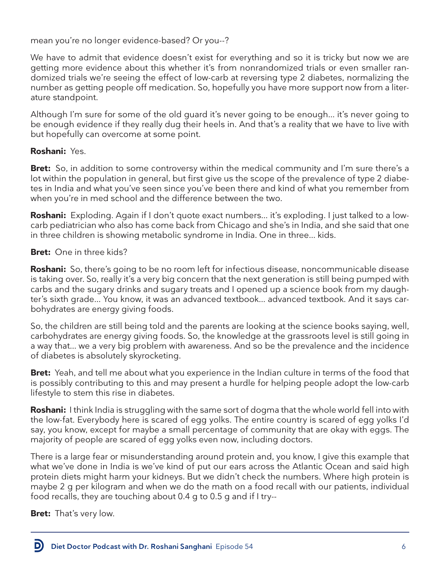mean you're no longer evidence-based? Or you--?

We have to admit that evidence doesn't exist for everything and so it is tricky but now we are getting more evidence about this whether it's from nonrandomized trials or even smaller randomized trials we're seeing the effect of low-carb at reversing type 2 diabetes, normalizing the number as getting people off medication. So, hopefully you have more support now from a literature standpoint.

Although I'm sure for some of the old guard it's never going to be enough... it's never going to be enough evidence if they really dug their heels in. And that's a reality that we have to live with but hopefully can overcome at some point.

### **Roshani:** Yes.

**Bret:** So, in addition to some controversy within the medical community and I'm sure there's a lot within the population in general, but first give us the scope of the prevalence of type 2 diabetes in India and what you've seen since you've been there and kind of what you remember from when you're in med school and the difference between the two.

**Roshani:** Exploding. Again if I don't quote exact numbers... it's exploding. I just talked to a lowcarb pediatrician who also has come back from Chicago and she's in India, and she said that one in three children is showing metabolic syndrome in India. One in three... kids.

# **Bret:** One in three kids?

**Roshani:** So, there's going to be no room left for infectious disease, noncommunicable disease is taking over. So, really it's a very big concern that the next generation is still being pumped with carbs and the sugary drinks and sugary treats and I opened up a science book from my daughter's sixth grade... You know, it was an advanced textbook... advanced textbook. And it says carbohydrates are energy giving foods.

So, the children are still being told and the parents are looking at the science books saying, well, carbohydrates are energy giving foods. So, the knowledge at the grassroots level is still going in a way that... we a very big problem with awareness. And so be the prevalence and the incidence of diabetes is absolutely skyrocketing.

**Bret:** Yeah, and tell me about what you experience in the Indian culture in terms of the food that is possibly contributing to this and may present a hurdle for helping people adopt the low-carb lifestyle to stem this rise in diabetes.

**Roshani:** I think India is struggling with the same sort of dogma that the whole world fell into with the low-fat. Everybody here is scared of egg yolks. The entire country is scared of egg yolks I'd say, you know, except for maybe a small percentage of community that are okay with eggs. The majority of people are scared of egg yolks even now, including doctors.

There is a large fear or misunderstanding around protein and, you know, I give this example that what we've done in India is we've kind of put our ears across the Atlantic Ocean and said high protein diets might harm your kidneys. But we didn't check the numbers. Where high protein is maybe 2 g per kilogram and when we do the math on a food recall with our patients, individual food recalls, they are touching about 0.4 g to 0.5 g and if I try--

**Bret:** That's very low.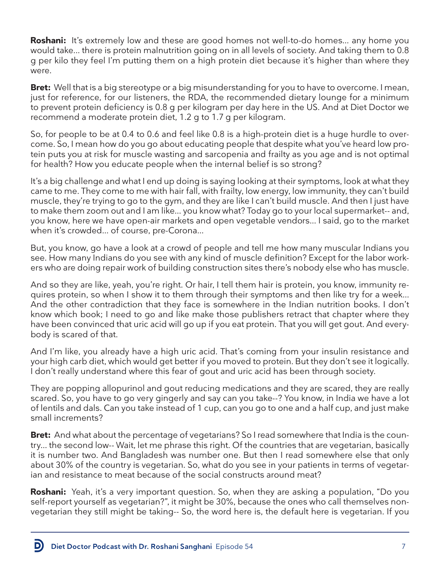**Roshani:** It's extremely low and these are good homes not well-to-do homes... any home you would take... there is protein malnutrition going on in all levels of society. And taking them to 0.8 g per kilo they feel I'm putting them on a high protein diet because it's higher than where they were.

**Bret:** Well that is a big stereotype or a big misunderstanding for you to have to overcome. I mean, just for reference, for our listeners, the RDA, the recommended dietary lounge for a minimum to prevent protein deficiency is 0.8 g per kilogram per day here in the US. And at Diet Doctor we recommend a moderate protein diet, 1.2 g to 1.7 g per kilogram.

So, for people to be at 0.4 to 0.6 and feel like 0.8 is a high-protein diet is a huge hurdle to overcome. So, I mean how do you go about educating people that despite what you've heard low protein puts you at risk for muscle wasting and sarcopenia and frailty as you age and is not optimal for health? How you educate people when the internal belief is so strong?

It's a big challenge and what I end up doing is saying looking at their symptoms, look at what they came to me. They come to me with hair fall, with frailty, low energy, low immunity, they can't build muscle, they're trying to go to the gym, and they are like I can't build muscle. And then I just have to make them zoom out and I am like... you know what? Today go to your local supermarket-- and, you know, here we have open-air markets and open vegetable vendors... I said, go to the market when it's crowded... of course, pre-Corona...

But, you know, go have a look at a crowd of people and tell me how many muscular Indians you see. How many Indians do you see with any kind of muscle definition? Except for the labor workers who are doing repair work of building construction sites there's nobody else who has muscle.

And so they are like, yeah, you're right. Or hair, I tell them hair is protein, you know, immunity requires protein, so when I show it to them through their symptoms and then like try for a week... And the other contradiction that they face is somewhere in the Indian nutrition books. I don't know which book; I need to go and like make those publishers retract that chapter where they have been convinced that uric acid will go up if you eat protein. That you will get gout. And everybody is scared of that.

And I'm like, you already have a high uric acid. That's coming from your insulin resistance and your high carb diet, which would get better if you moved to protein. But they don't see it logically. I don't really understand where this fear of gout and uric acid has been through society.

They are popping allopurinol and gout reducing medications and they are scared, they are really scared. So, you have to go very gingerly and say can you take--? You know, in India we have a lot of lentils and dals. Can you take instead of 1 cup, can you go to one and a half cup, and just make small increments?

**Bret:** And what about the percentage of vegetarians? So I read somewhere that India is the country... the second low-- Wait, let me phrase this right. Of the countries that are vegetarian, basically it is number two. And Bangladesh was number one. But then I read somewhere else that only about 30% of the country is vegetarian. So, what do you see in your patients in terms of vegetarian and resistance to meat because of the social constructs around meat?

**Roshani:** Yeah, it's a very important question. So, when they are asking a population, "Do you self-report yourself as vegetarian?", it might be 30%, because the ones who call themselves nonvegetarian they still might be taking-- So, the word here is, the default here is vegetarian. If you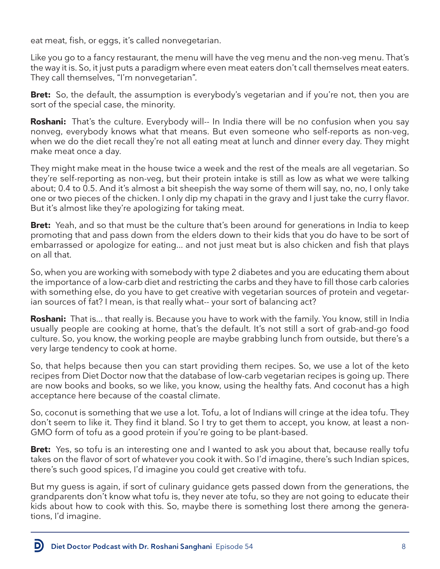eat meat, fish, or eggs, it's called nonvegetarian.

Like you go to a fancy restaurant, the menu will have the veg menu and the non-veg menu. That's the way it is. So, it just puts a paradigm where even meat eaters don't call themselves meat eaters. They call themselves, "I'm nonvegetarian".

**Bret:** So, the default, the assumption is everybody's vegetarian and if you're not, then you are sort of the special case, the minority.

**Roshani:** That's the culture. Everybody will-- In India there will be no confusion when you say nonveg, everybody knows what that means. But even someone who self-reports as non-veg, when we do the diet recall they're not all eating meat at lunch and dinner every day. They might make meat once a day.

They might make meat in the house twice a week and the rest of the meals are all vegetarian. So they're self-reporting as non-veg, but their protein intake is still as low as what we were talking about; 0.4 to 0.5. And it's almost a bit sheepish the way some of them will say, no, no, I only take one or two pieces of the chicken. I only dip my chapati in the gravy and I just take the curry flavor. But it's almost like they're apologizing for taking meat.

**Bret:** Yeah, and so that must be the culture that's been around for generations in India to keep promoting that and pass down from the elders down to their kids that you do have to be sort of embarrassed or apologize for eating... and not just meat but is also chicken and fish that plays on all that.

So, when you are working with somebody with type 2 diabetes and you are educating them about the importance of a low-carb diet and restricting the carbs and they have to fill those carb calories with something else, do you have to get creative with vegetarian sources of protein and vegetarian sources of fat? I mean, is that really what-- your sort of balancing act?

**Roshani:** That is... that really is. Because you have to work with the family. You know, still in India usually people are cooking at home, that's the default. It's not still a sort of grab-and-go food culture. So, you know, the working people are maybe grabbing lunch from outside, but there's a very large tendency to cook at home.

So, that helps because then you can start providing them recipes. So, we use a lot of the keto recipes from Diet Doctor now that the database of low-carb vegetarian recipes is going up. There are now books and books, so we like, you know, using the healthy fats. And coconut has a high acceptance here because of the coastal climate.

So, coconut is something that we use a lot. Tofu, a lot of Indians will cringe at the idea tofu. They don't seem to like it. They find it bland. So I try to get them to accept, you know, at least a non-GMO form of tofu as a good protein if you're going to be plant-based.

**Bret:** Yes, so tofu is an interesting one and I wanted to ask you about that, because really tofu takes on the flavor of sort of whatever you cook it with. So I'd imagine, there's such Indian spices, there's such good spices, I'd imagine you could get creative with tofu.

But my guess is again, if sort of culinary guidance gets passed down from the generations, the grandparents don't know what tofu is, they never ate tofu, so they are not going to educate their kids about how to cook with this. So, maybe there is something lost there among the generations, I'd imagine.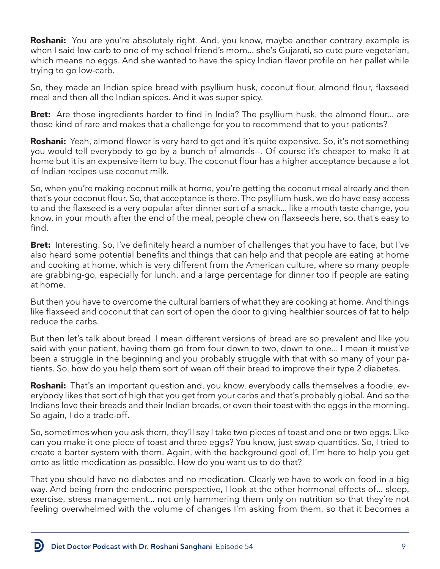**Roshani:** You are you're absolutely right. And, you know, maybe another contrary example is when I said low-carb to one of my school friend's mom... she's Gujarati, so cute pure vegetarian, which means no eggs. And she wanted to have the spicy Indian flavor profile on her pallet while trying to go low-carb.

So, they made an Indian spice bread with psyllium husk, coconut flour, almond flour, flaxseed meal and then all the Indian spices. And it was super spicy.

**Bret:** Are those ingredients harder to find in India? The psyllium husk, the almond flour... are those kind of rare and makes that a challenge for you to recommend that to your patients?

**Roshani:** Yeah, almond flower is very hard to get and it's quite expensive. So, it's not something you would tell everybody to go by a bunch of almonds--. Of course it's cheaper to make it at home but it is an expensive item to buy. The coconut flour has a higher acceptance because a lot of Indian recipes use coconut milk.

So, when you're making coconut milk at home, you're getting the coconut meal already and then that's your coconut flour. So, that acceptance is there. The psyllium husk, we do have easy access to and the flaxseed is a very popular after dinner sort of a snack... like a mouth taste change, you know, in your mouth after the end of the meal, people chew on flaxseeds here, so, that's easy to find.

**Bret:** Interesting. So, I've definitely heard a number of challenges that you have to face, but I've also heard some potential benefits and things that can help and that people are eating at home and cooking at home, which is very different from the American culture, where so many people are grabbing-go, especially for lunch, and a large percentage for dinner too if people are eating at home.

But then you have to overcome the cultural barriers of what they are cooking at home. And things like flaxseed and coconut that can sort of open the door to giving healthier sources of fat to help reduce the carbs.

But then let's talk about bread. I mean different versions of bread are so prevalent and like you said with your patient, having them go from four down to two, down to one... I mean it must've been a struggle in the beginning and you probably struggle with that with so many of your patients. So, how do you help them sort of wean off their bread to improve their type 2 diabetes.

**Roshani:** That's an important question and, you know, everybody calls themselves a foodie, everybody likes that sort of high that you get from your carbs and that's probably global. And so the Indians love their breads and their Indian breads, or even their toast with the eggs in the morning. So again, I do a trade-off.

So, sometimes when you ask them, they'll say I take two pieces of toast and one or two eggs. Like can you make it one piece of toast and three eggs? You know, just swap quantities. So, I tried to create a barter system with them. Again, with the background goal of, I'm here to help you get onto as little medication as possible. How do you want us to do that?

That you should have no diabetes and no medication. Clearly we have to work on food in a big way. And being from the endocrine perspective, I look at the other hormonal effects of... sleep, exercise, stress management... not only hammering them only on nutrition so that they're not feeling overwhelmed with the volume of changes I'm asking from them, so that it becomes a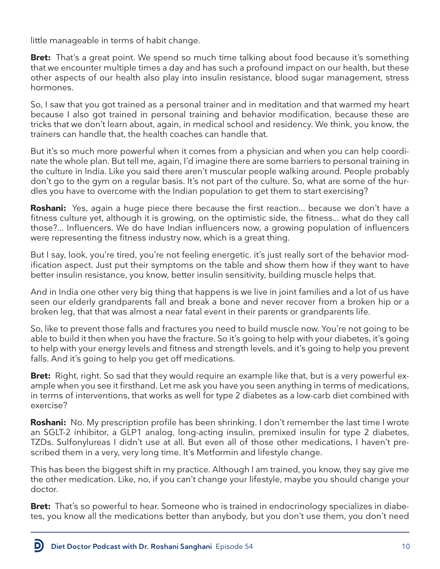little manageable in terms of habit change.

**Bret:** That's a great point. We spend so much time talking about food because it's something that we encounter multiple times a day and has such a profound impact on our health, but these other aspects of our health also play into insulin resistance, blood sugar management, stress hormones.

So, I saw that you got trained as a personal trainer and in meditation and that warmed my heart because I also got trained in personal training and behavior modification, because these are tricks that we don't learn about, again, in medical school and residency. We think, you know, the trainers can handle that, the health coaches can handle that.

But it's so much more powerful when it comes from a physician and when you can help coordinate the whole plan. But tell me, again, I'd imagine there are some barriers to personal training in the culture in India. Like you said there aren't muscular people walking around. People probably don't go to the gym on a regular basis. It's not part of the culture. So, what are some of the hurdles you have to overcome with the Indian population to get them to start exercising?

**Roshani:** Yes, again a huge piece there because the first reaction... because we don't have a fitness culture yet, although it is growing, on the optimistic side, the fitness... what do they call those?... Influencers. We do have Indian influencers now, a growing population of influencers were representing the fitness industry now, which is a great thing.

But I say, look, you're tired, you're not feeling energetic. it's just really sort of the behavior modification aspect. Just put their symptoms on the table and show them how if they want to have better insulin resistance, you know, better insulin sensitivity, building muscle helps that.

And in India one other very big thing that happens is we live in joint families and a lot of us have seen our elderly grandparents fall and break a bone and never recover from a broken hip or a broken leg, that that was almost a near fatal event in their parents or grandparents life.

So, like to prevent those falls and fractures you need to build muscle now. You're not going to be able to build it then when you have the fracture. So it's going to help with your diabetes, it's going to help with your energy levels and fitness and strength levels, and it's going to help you prevent falls. And it's going to help you get off medications.

**Bret:** Right, right. So sad that they would require an example like that, but is a very powerful example when you see it firsthand. Let me ask you have you seen anything in terms of medications, in terms of interventions, that works as well for type 2 diabetes as a low-carb diet combined with exercise?

**Roshani:** No. My prescription profile has been shrinking. I don't remember the last time I wrote an SGLT-2 inhibitor, a GLP1 analog, long-acting insulin, premixed insulin for type 2 diabetes, TZDs. Sulfonylureas I didn't use at all. But even all of those other medications, I haven't prescribed them in a very, very long time. It's Metformin and lifestyle change.

This has been the biggest shift in my practice. Although I am trained, you know, they say give me the other medication. Like, no, if you can't change your lifestyle, maybe you should change your doctor.

**Bret:** That's so powerful to hear. Someone who is trained in endocrinology specializes in diabetes, you know all the medications better than anybody, but you don't use them, you don't need

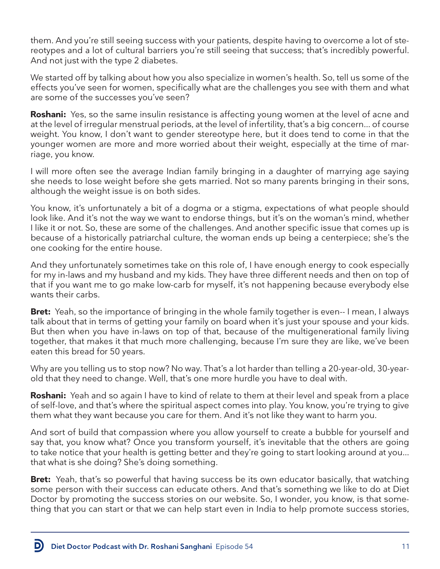them. And you're still seeing success with your patients, despite having to overcome a lot of stereotypes and a lot of cultural barriers you're still seeing that success; that's incredibly powerful. And not just with the type 2 diabetes.

We started off by talking about how you also specialize in women's health. So, tell us some of the effects you've seen for women, specifically what are the challenges you see with them and what are some of the successes you've seen?

**Roshani:** Yes, so the same insulin resistance is affecting young women at the level of acne and at the level of irregular menstrual periods, at the level of infertility, that's a big concern... of course weight. You know, I don't want to gender stereotype here, but it does tend to come in that the younger women are more and more worried about their weight, especially at the time of marriage, you know.

I will more often see the average Indian family bringing in a daughter of marrying age saying she needs to lose weight before she gets married. Not so many parents bringing in their sons, although the weight issue is on both sides.

You know, it's unfortunately a bit of a dogma or a stigma, expectations of what people should look like. And it's not the way we want to endorse things, but it's on the woman's mind, whether I like it or not. So, these are some of the challenges. And another specific issue that comes up is because of a historically patriarchal culture, the woman ends up being a centerpiece; she's the one cooking for the entire house.

And they unfortunately sometimes take on this role of, I have enough energy to cook especially for my in-laws and my husband and my kids. They have three different needs and then on top of that if you want me to go make low-carb for myself, it's not happening because everybody else wants their carbs.

**Bret:** Yeah, so the importance of bringing in the whole family together is even-- I mean, I always talk about that in terms of getting your family on board when it's just your spouse and your kids. But then when you have in-laws on top of that, because of the multigenerational family living together, that makes it that much more challenging, because I'm sure they are like, we've been eaten this bread for 50 years.

Why are you telling us to stop now? No way. That's a lot harder than telling a 20-year-old, 30-yearold that they need to change. Well, that's one more hurdle you have to deal with.

**Roshani:** Yeah and so again I have to kind of relate to them at their level and speak from a place of self-love, and that's where the spiritual aspect comes into play. You know, you're trying to give them what they want because you care for them. And it's not like they want to harm you.

And sort of build that compassion where you allow yourself to create a bubble for yourself and say that, you know what? Once you transform yourself, it's inevitable that the others are going to take notice that your health is getting better and they're going to start looking around at you... that what is she doing? She's doing something.

**Bret:** Yeah, that's so powerful that having success be its own educator basically, that watching some person with their success can educate others. And that's something we like to do at Diet Doctor by promoting the success stories on our website. So, I wonder, you know, is that something that you can start or that we can help start even in India to help promote success stories,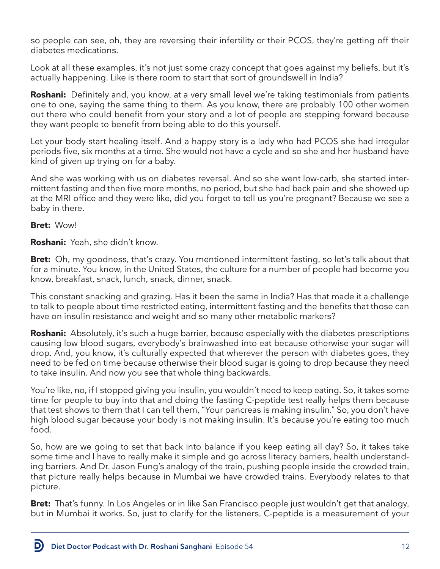so people can see, oh, they are reversing their infertility or their PCOS, they're getting off their diabetes medications.

Look at all these examples, it's not just some crazy concept that goes against my beliefs, but it's actually happening. Like is there room to start that sort of groundswell in India?

**Roshani:** Definitely and, you know, at a very small level we're taking testimonials from patients one to one, saying the same thing to them. As you know, there are probably 100 other women out there who could benefit from your story and a lot of people are stepping forward because they want people to benefit from being able to do this yourself.

Let your body start healing itself. And a happy story is a lady who had PCOS she had irregular periods five, six months at a time. She would not have a cycle and so she and her husband have kind of given up trying on for a baby.

And she was working with us on diabetes reversal. And so she went low-carb, she started intermittent fasting and then five more months, no period, but she had back pain and she showed up at the MRI office and they were like, did you forget to tell us you're pregnant? Because we see a baby in there.

### **Bret:** Wow!

D

**Roshani:** Yeah, she didn't know.

**Bret:** Oh, my goodness, that's crazy. You mentioned intermittent fasting, so let's talk about that for a minute. You know, in the United States, the culture for a number of people had become you know, breakfast, snack, lunch, snack, dinner, snack.

This constant snacking and grazing. Has it been the same in India? Has that made it a challenge to talk to people about time restricted eating, intermittent fasting and the benefits that those can have on insulin resistance and weight and so many other metabolic markers?

**Roshani:** Absolutely, it's such a huge barrier, because especially with the diabetes prescriptions causing low blood sugars, everybody's brainwashed into eat because otherwise your sugar will drop. And, you know, it's culturally expected that wherever the person with diabetes goes, they need to be fed on time because otherwise their blood sugar is going to drop because they need to take insulin. And now you see that whole thing backwards.

You're like, no, if I stopped giving you insulin, you wouldn't need to keep eating. So, it takes some time for people to buy into that and doing the fasting C-peptide test really helps them because that test shows to them that I can tell them, "Your pancreas is making insulin." So, you don't have high blood sugar because your body is not making insulin. It's because you're eating too much food.

So, how are we going to set that back into balance if you keep eating all day? So, it takes take some time and I have to really make it simple and go across literacy barriers, health understanding barriers. And Dr. Jason Fung's analogy of the train, pushing people inside the crowded train, that picture really helps because in Mumbai we have crowded trains. Everybody relates to that picture.

**Bret:** That's funny. In Los Angeles or in like San Francisco people just wouldn't get that analogy, but in Mumbai it works. So, just to clarify for the listeners, C-peptide is a measurement of your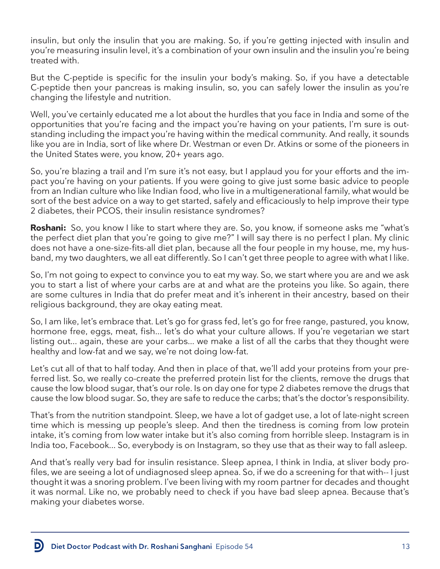insulin, but only the insulin that you are making. So, if you're getting injected with insulin and you're measuring insulin level, it's a combination of your own insulin and the insulin you're being treated with.

But the C-peptide is specific for the insulin your body's making. So, if you have a detectable C-peptide then your pancreas is making insulin, so, you can safely lower the insulin as you're changing the lifestyle and nutrition.

Well, you've certainly educated me a lot about the hurdles that you face in India and some of the opportunities that you're facing and the impact you're having on your patients, I'm sure is outstanding including the impact you're having within the medical community. And really, it sounds like you are in India, sort of like where Dr. Westman or even Dr. Atkins or some of the pioneers in the United States were, you know, 20+ years ago.

So, you're blazing a trail and I'm sure it's not easy, but I applaud you for your efforts and the impact you're having on your patients. If you were going to give just some basic advice to people from an Indian culture who like Indian food, who live in a multigenerational family, what would be sort of the best advice on a way to get started, safely and efficaciously to help improve their type 2 diabetes, their PCOS, their insulin resistance syndromes?

**Roshani:** So, you know I like to start where they are. So, you know, if someone asks me "what's the perfect diet plan that you're going to give me?" I will say there is no perfect I plan. My clinic does not have a one-size-fits-all diet plan, because all the four people in my house, me, my husband, my two daughters, we all eat differently. So I can't get three people to agree with what I like.

So, I'm not going to expect to convince you to eat my way. So, we start where you are and we ask you to start a list of where your carbs are at and what are the proteins you like. So again, there are some cultures in India that do prefer meat and it's inherent in their ancestry, based on their religious background, they are okay eating meat.

So, I am like, let's embrace that. Let's go for grass fed, let's go for free range, pastured, you know, hormone free, eggs, meat, fish... let's do what your culture allows. If you're vegetarian we start listing out... again, these are your carbs... we make a list of all the carbs that they thought were healthy and low-fat and we say, we're not doing low-fat.

Let's cut all of that to half today. And then in place of that, we'll add your proteins from your preferred list. So, we really co-create the preferred protein list for the clients, remove the drugs that cause the low blood sugar, that's our role. Is on day one for type 2 diabetes remove the drugs that cause the low blood sugar. So, they are safe to reduce the carbs; that's the doctor's responsibility.

That's from the nutrition standpoint. Sleep, we have a lot of gadget use, a lot of late-night screen time which is messing up people's sleep. And then the tiredness is coming from low protein intake, it's coming from low water intake but it's also coming from horrible sleep. Instagram is in India too, Facebook... So, everybody is on Instagram, so they use that as their way to fall asleep.

And that's really very bad for insulin resistance. Sleep apnea, I think in India, at sliver body profiles, we are seeing a lot of undiagnosed sleep apnea. So, if we do a screening for that with-- I just thought it was a snoring problem. I've been living with my room partner for decades and thought it was normal. Like no, we probably need to check if you have bad sleep apnea. Because that's making your diabetes worse.